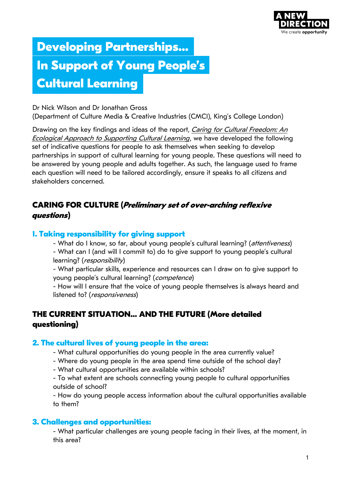

# **Developing Partnerships… In Support of Young People's Cultural Learning**

Dr Nick Wilson and Dr Jonathan Gross

(Department of Culture Media & Creative Industries (CMCI), King's College London)

[Drawing on the key findings and ideas of the report,](https://www.anewdirection.org.uk/research/cultural-ecology) Caring for Cultural Freedom: An Ecological Approach to Supporting Cultural Learning, we have developed the following set of indicative questions for people to ask themselves when seeking to develop partnerships in support of cultural learning for young people. These questions will need to be answered by young people and adults together. As such, the language used to frame each question will need to be tailored accordingly, ensure it speaks to all citizens and stakeholders concerned.

## **CARING FOR CULTURE (Preliminary set of over-arching reflexive questions)**

### **1. Taking responsibility for giving support**

- What do I know, so far, about young people's cultural learning? (attentiveness) - What can I (and will I commit to) do to give support to young people's cultural learning? (responsibility)

- What particular skills, experience and resources can I draw on to give support to young people's cultural learning? (competence)

- How will I ensure that the voice of young people themselves is always heard and listened to? (responsiveness)

# **THE CURRENT SITUATION… AND THE FUTURE (More detailed questioning)**

#### **2. The cultural lives of young people in the area:**

- What cultural opportunities do young people in the area currently value?
- Where do young people in the area spend time outside of the school day?
- What cultural opportunities are available within schools?
- To what extent are schools connecting young people to cultural opportunities outside of school?

- How do young people access information about the cultural opportunities available to them?

## **3. Challenges and opportunities:**

- What particular challenges are young people facing in their lives, at the moment, in this area?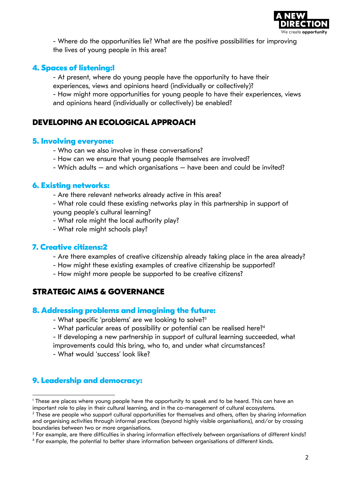

- Where do the opportunities lie? What are the positive possibilities for improving the lives of young people in this area?

#### **4. Spaces of listening:1**

- At present, where do young people have the opportunity to have their experiences, views and opinions heard (individually or collectively)?

- How might more opportunities for young people to have their experiences, views and opinions heard (individually or collectively) be enabled?

## **DEVELOPING AN ECOLOGICAL APPROACH**

#### **5. Involving everyone:**

- Who can we also involve in these conversations?
- How can we ensure that young people themselves are involved?
- Which adults and which organisations have been and could be invited?

#### **6. Existing networks:**

- Are there relevant networks already active in this area?

- What role could these existing networks play in this partnership in support of young people's cultural learning?

- What role might the local authority play?
- What role might schools play?

#### **7. Creative citizens:2**

- Are there examples of creative citizenship already taking place in the area already?
- How might these existing examples of creative citizenship be supported?
- How might more people be supported to be creative citizens?

## **STRATEGIC AIMS & GOVERNANCE**

#### **8. Addressing problems and imagining the future:**

- What specific 'problems' are we looking to solve?<sup>3</sup>
- What particular areas of possibility or potential can be realised here?<sup>4</sup>

- If developing a new partnership in support of cultural learning succeeded, what improvements could this bring, who to, and under what circumstances?

- What would 'success' look like?

## **9. Leadership and democracy:**

<sup>1</sup> These are places where young people have the opportunity to speak and to be heard. This can have an important role to play in their cultural learning, and in the co-management of cultural ecosystems.

 $<sup>2</sup>$  These are people who support cultural opportunities for themselves and others, often by sharing information</sup> and organising activities through informal practices (beyond highly visible organisations), and/or by crossing boundaries between two or more organisations.

<sup>3</sup> For example, are there difficulties in sharing information effectively between organisations of different kinds?

<sup>4</sup> For example, the potential to better share information between organisations of different kinds.